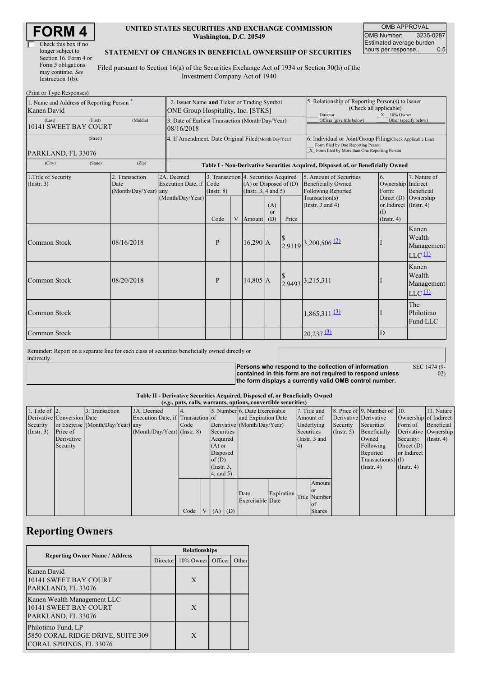| Check this box if no  |  |  |  |  |
|-----------------------|--|--|--|--|
| longer subject to     |  |  |  |  |
| Section 16. Form 4 or |  |  |  |  |
| Form 5 obligations    |  |  |  |  |
| may continue. See     |  |  |  |  |
| Instruction $1(b)$ .  |  |  |  |  |

### **UNITED STATES SECURITIES AND EXCHANGE COMMISSION Washington, D.C. 20549**

OMB APPROVAL OMB Number: 3235-0287 Estimated average burden<br>hours per response... 0.5 hours per response...

#### **STATEMENT OF CHANGES IN BENEFICIAL OWNERSHIP OF SECURITIES**

Filed pursuant to Section 16(a) of the Securities Exchange Act of 1934 or Section 30(h) of the Investment Company Act of 1940

| (Print or Type Responses)                                |                                                                                          |                                                                                  |                 |   |                                                                                             |                  |                                                                                                                                                    |                                                                                   |                                                   |                                                                    |  |
|----------------------------------------------------------|------------------------------------------------------------------------------------------|----------------------------------------------------------------------------------|-----------------|---|---------------------------------------------------------------------------------------------|------------------|----------------------------------------------------------------------------------------------------------------------------------------------------|-----------------------------------------------------------------------------------|---------------------------------------------------|--------------------------------------------------------------------|--|
| 1. Name and Address of Reporting Person –<br>Kanen David | 2. Issuer Name and Ticker or Trading Symbol<br><b>ONE Group Hospitality, Inc. [STKS]</b> |                                                                                  |                 |   |                                                                                             |                  | 5. Relationship of Reporting Person(s) to Issuer<br>(Check all applicable)<br>Director<br>$X = 10\%$ Owner                                         |                                                                                   |                                                   |                                                                    |  |
| (First)<br>(Last)<br>10141 SWEET BAY COURT               | 3. Date of Earliest Transaction (Month/Day/Year)<br>08/16/2018                           |                                                                                  |                 |   |                                                                                             |                  | Officer (give title below)                                                                                                                         |                                                                                   | Other (specify below)                             |                                                                    |  |
| (Street)<br>PARKLAND, FL 33076                           | 4. If Amendment, Date Original Filed (Month/Day/Year)                                    |                                                                                  |                 |   |                                                                                             |                  | 6. Individual or Joint/Group Filing(Check Applicable Line)<br>Form filed by One Reporting Person<br>X Form filed by More than One Reporting Person |                                                                                   |                                                   |                                                                    |  |
| (City)<br>(State)                                        |                                                                                          | Table I - Non-Derivative Securities Acquired, Disposed of, or Beneficially Owned |                 |   |                                                                                             |                  |                                                                                                                                                    |                                                                                   |                                                   |                                                                    |  |
| 1. Title of Security<br>(Insert. 3)                      | 2. Transaction<br>Date<br>(Month/Day/Year) any                                           | 2A. Deemed<br>Execution Date, if Code<br>(Month/Day/Year)                        | $($ Instr. $8)$ |   | 3. Transaction 4. Securities Acquired<br>$(A)$ or Disposed of $(D)$<br>(Insert. 3, 4 and 5) |                  |                                                                                                                                                    | 5. Amount of Securities<br><b>Beneficially Owned</b><br><b>Following Reported</b> | 6.<br>Ownership Indirect<br>Form:<br>Direct $(D)$ | 7. Nature of<br>Beneficial                                         |  |
|                                                          |                                                                                          |                                                                                  | Code            | V | Amount                                                                                      | (A)<br>or<br>(D) | Price                                                                                                                                              | Transaction(s)<br>(Instr. $3$ and $4$ )                                           | or Indirect (Instr. 4)<br>(I)<br>$($ Instr. 4 $)$ | Ownership                                                          |  |
| Common Stock                                             | 08/16/2018                                                                               |                                                                                  | $\mathbf{P}$    |   | $16,290$ A                                                                                  |                  |                                                                                                                                                    | 2.9119 3,200,506 (2)                                                              |                                                   | Kanen<br>Wealth<br>Management<br>$LLC$ <sup><math>(1)</math></sup> |  |
| Common Stock                                             | 08/20/2018                                                                               |                                                                                  | $\mathbf{P}$    |   | $14.805 \, \text{A}$                                                                        |                  |                                                                                                                                                    | 2.9493 3,215,311                                                                  |                                                   | Kanen<br>Wealth<br>Management<br>$LLC$ <sup><math>(1)</math></sup> |  |
| Common Stock                                             |                                                                                          |                                                                                  |                 |   |                                                                                             |                  |                                                                                                                                                    | $1,865,311$ <sup>(3)</sup>                                                        |                                                   | The<br>Philotimo<br>Fund LLC                                       |  |
| Common Stock                                             |                                                                                          |                                                                                  |                 |   |                                                                                             |                  |                                                                                                                                                    | $20,237$ $\underline{3}$                                                          | D                                                 |                                                                    |  |

Reminder: Report on a separate line for each class of securities beneficially owned directly or indirectly.

**Persons who respond to the collection of information contained in this form are not required to respond unless the form displays a currently valid OMB control number.**

SEC 1474 (9-  $\ddot{02}$ 

### **Table II - Derivative Securities Acquired, Disposed of, or Beneficially Owned**

| (e.g., puts, calls, warrants, options, convertible securities) |                            |                                  |                                   |      |  |                 |  |                               |            |  |                      |                       |                              |                       |               |
|----------------------------------------------------------------|----------------------------|----------------------------------|-----------------------------------|------|--|-----------------|--|-------------------------------|------------|--|----------------------|-----------------------|------------------------------|-----------------------|---------------|
| 1. Title of $ 2$ .                                             |                            | 3. Transaction                   | 3A. Deemed                        |      |  |                 |  | 5. Number 6. Date Exercisable |            |  | 7. Title and         |                       | 8. Price of 9. Number of 10. |                       | 11. Nature    |
|                                                                | Derivative Conversion Date |                                  | Execution Date, if Transaction of |      |  |                 |  | and Expiration Date           |            |  | Amount of            | Derivative Derivative |                              | Ownership of Indirect |               |
| Security                                                       |                            | or Exercise (Month/Day/Year) any |                                   | Code |  |                 |  | Derivative (Month/Day/Year)   |            |  | Underlying           | Security              | Securities                   | Form of               | Beneficial    |
| (Insert. 3)                                                    | Price of                   |                                  | $(Month/Day/Year)$ (Instr. 8)     |      |  | Securities      |  |                               |            |  | Securities           | $($ Instr. 5 $)$      | Beneficially                 | Derivative Ownership  |               |
|                                                                | Derivative                 |                                  |                                   |      |  | Acquired        |  |                               |            |  | (Instr. 3 and        |                       | Owned                        | Security:             | $($ Instr. 4) |
|                                                                | Security                   |                                  |                                   |      |  | $(A)$ or        |  |                               | 4)         |  |                      | Following             | Direct $(D)$                 |                       |               |
|                                                                |                            |                                  |                                   |      |  | Disposed        |  |                               |            |  | Reported             | or Indirect           |                              |                       |               |
|                                                                |                            |                                  |                                   |      |  | of $(D)$        |  |                               |            |  | $Transaction(s)$ (I) |                       |                              |                       |               |
|                                                                |                            |                                  |                                   |      |  | $($ Instr. $3,$ |  |                               |            |  |                      | $($ Instr. 4 $)$      | $($ Instr. 4 $)$             |                       |               |
|                                                                |                            |                                  |                                   |      |  | 4, and 5)       |  |                               |            |  |                      |                       |                              |                       |               |
|                                                                |                            |                                  |                                   |      |  |                 |  |                               |            |  | Amount               |                       |                              |                       |               |
|                                                                |                            |                                  |                                   |      |  |                 |  | Date                          | Expiration |  | <b>or</b>            |                       |                              |                       |               |
|                                                                |                            |                                  |                                   |      |  |                 |  | Exercisable Date              |            |  | Title Number         |                       |                              |                       |               |
|                                                                |                            |                                  |                                   |      |  |                 |  |                               |            |  | <b>of</b>            |                       |                              |                       |               |
|                                                                |                            |                                  |                                   | Code |  | $V(A)$ (D)      |  |                               |            |  | <b>Shares</b>        |                       |                              |                       |               |

## **Reporting Owners**

|                                                                                    | <b>Relationships</b> |                   |  |       |  |  |  |  |
|------------------------------------------------------------------------------------|----------------------|-------------------|--|-------|--|--|--|--|
| <b>Reporting Owner Name / Address</b>                                              | Director             | 10% Owner Officer |  | Other |  |  |  |  |
| Kanen David<br>10141 SWEET BAY COURT<br>PARKLAND, FL 33076                         |                      | X                 |  |       |  |  |  |  |
| Kanen Wealth Management LLC<br>10141 SWEET BAY COURT<br>PARKLAND, FL 33076         |                      | X                 |  |       |  |  |  |  |
| Philotimo Fund, LP<br>5850 CORAL RIDGE DRIVE, SUITE 309<br>CORAL SPRINGS, FL 33076 |                      | X                 |  |       |  |  |  |  |